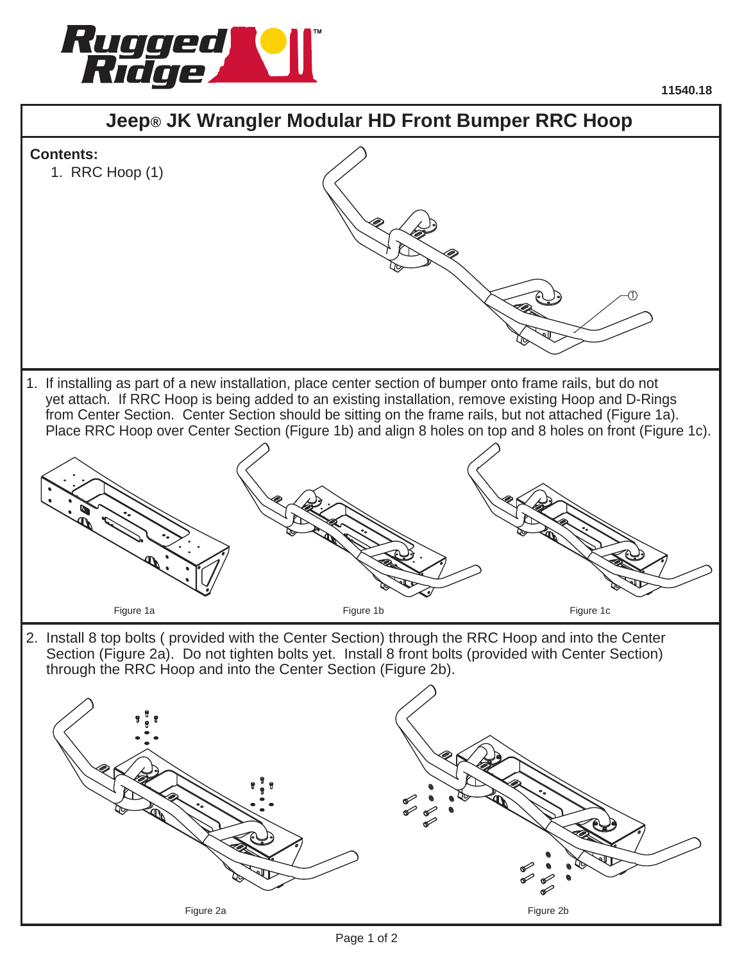